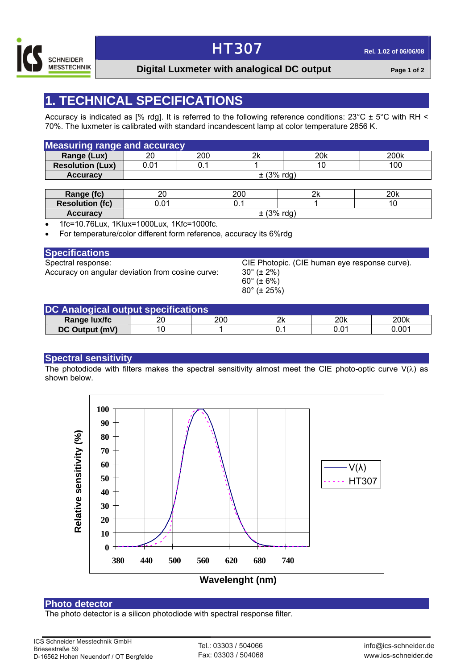

### HT307 **Rel. 1.02 of 06/06/08**

### **Digital Luxmeter with analogical DC output Page 1 of 2**

### **1. TECHNICAL SPECIFICATIONS**

Accuracy is indicated as [% rdg]. It is referred to the following reference conditions: 23°C ± 5°C with RH < 70%. The luxmeter is calibrated with standard incandescent lamp at color temperature 2856 K.

| <b>Measuring range and accuracy</b> |                |     |    |     |      |
|-------------------------------------|----------------|-----|----|-----|------|
| Range (Lux)                         | 20             | 200 | 2k | 20k | 200k |
| <b>Resolution (Lux)</b>             | 0.01           | 0.1 |    | 10  | 100  |
| <b>Accuracy</b>                     | $\pm$ (3% rdg) |     |    |     |      |

| Range (fc)             | oc<br>∼                   | 200            | יורי<br>∠⊾ | 20k |
|------------------------|---------------------------|----------------|------------|-----|
| <b>Resolution (fc)</b> | $^{\circ}$<br><b>U.U.</b> |                |            |     |
| <b>Accuracy</b>        |                           | 130/<br>0 / V) | rda<br>. ت |     |

• 1fc=10.76Lux, 1Klux=1000Lux, 1Kfc=1000fc.

• For temperature/color different form reference, accuracy its 6%rdg

#### **Specifications**

Accuracy on angular deviation from cosine curve:  $30^\circ$  ( $\pm 2\%$ )

Spectral response: CIE Photopic. (CIE human eye response curve). 60° (± 6%) 80° (± 25%)

| DC Analogical output specifications |    |     |    |      |       |
|-------------------------------------|----|-----|----|------|-------|
| Range lux/fc                        | 20 | 200 | 2k | 20k  | 200k  |
| <b>DC Output (mV)</b>               |    |     |    | 0.01 | 0.001 |

#### **Spectral sensitivity**

The photodiode with filters makes the spectral sensitivity almost meet the CIE photo-optic curve  $V(\lambda)$  as shown below.



**Photo detector**<br>The photo detector is a silicon photodiode with spectral response filter.